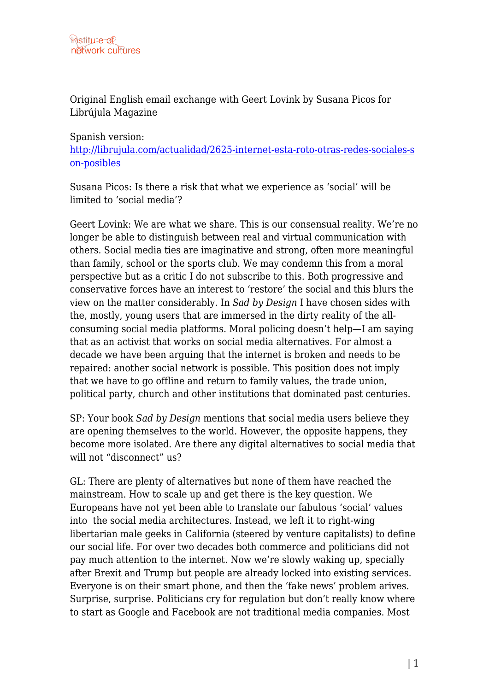Original English email exchange with Geert Lovink by Susana Picos for Librújula Magazine

## Spanish version:

[http://librujula.com/actualidad/2625-internet-esta-roto-otras-redes-sociales-s](http://librujula.com/actualidad/2625-internet-esta-roto-otras-redes-sociales-son-posibles) [on-posibles](http://librujula.com/actualidad/2625-internet-esta-roto-otras-redes-sociales-son-posibles)

Susana Picos: Is there a risk that what we experience as 'social' will be limited to 'social media'?

Geert Lovink: We are what we share. This is our consensual reality. We're no longer be able to distinguish between real and virtual communication with others. Social media ties are imaginative and strong, often more meaningful than family, school or the sports club. We may condemn this from a moral perspective but as a critic I do not subscribe to this. Both progressive and conservative forces have an interest to 'restore' the social and this blurs the view on the matter considerably. In *Sad by Design* I have chosen sides with the, mostly, young users that are immersed in the dirty reality of the allconsuming social media platforms. Moral policing doesn't help—I am saying that as an activist that works on social media alternatives. For almost a decade we have been arguing that the internet is broken and needs to be repaired: another social network is possible. This position does not imply that we have to go offline and return to family values, the trade union, political party, church and other institutions that dominated past centuries.

SP: Your book *Sad by Design* mentions that social media users believe they are opening themselves to the world. However, the opposite happens, they become more isolated. Are there any digital alternatives to social media that will not "disconnect" us?

GL: There are plenty of alternatives but none of them have reached the mainstream. How to scale up and get there is the key question. We Europeans have not yet been able to translate our fabulous 'social' values into the social media architectures. Instead, we left it to right-wing libertarian male geeks in California (steered by venture capitalists) to define our social life. For over two decades both commerce and politicians did not pay much attention to the internet. Now we're slowly waking up, specially after Brexit and Trump but people are already locked into existing services. Everyone is on their smart phone, and then the 'fake news' problem arives. Surprise, surprise. Politicians cry for regulation but don't really know where to start as Google and Facebook are not traditional media companies. Most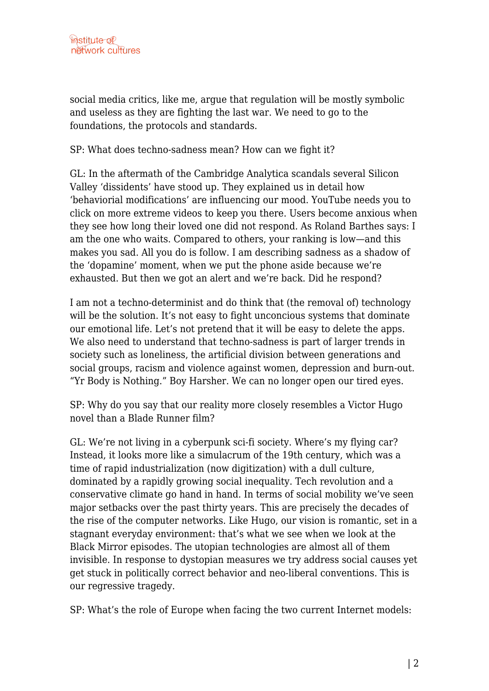social media critics, like me, argue that regulation will be mostly symbolic and useless as they are fighting the last war. We need to go to the foundations, the protocols and standards.

SP: What does techno-sadness mean? How can we fight it?

GL: In the aftermath of the Cambridge Analytica scandals several Silicon Valley 'dissidents' have stood up. They explained us in detail how 'behaviorial modifications' are influencing our mood. YouTube needs you to click on more extreme videos to keep you there. Users become anxious when they see how long their loved one did not respond. As Roland Barthes says: I am the one who waits. Compared to others, your ranking is low—and this makes you sad. All you do is follow. I am describing sadness as a shadow of the 'dopamine' moment, when we put the phone aside because we're exhausted. But then we got an alert and we're back. Did he respond?

I am not a techno-determinist and do think that (the removal of) technology will be the solution. It's not easy to fight unconcious systems that dominate our emotional life. Let's not pretend that it will be easy to delete the apps. We also need to understand that techno-sadness is part of larger trends in society such as loneliness, the artificial division between generations and social groups, racism and violence against women, depression and burn-out. "Yr Body is Nothing." Boy Harsher. We can no longer open our tired eyes.

SP: Why do you say that our reality more closely resembles a Victor Hugo novel than a Blade Runner film?

GL: We're not living in a cyberpunk sci-fi society. Where's my flying car? Instead, it looks more like a simulacrum of the 19th century, which was a time of rapid industrialization (now digitization) with a dull culture, dominated by a rapidly growing social inequality. Tech revolution and a conservative climate go hand in hand. In terms of social mobility we've seen major setbacks over the past thirty years. This are precisely the decades of the rise of the computer networks. Like Hugo, our vision is romantic, set in a stagnant everyday environment: that's what we see when we look at the Black Mirror episodes. The utopian technologies are almost all of them invisible. In response to dystopian measures we try address social causes yet get stuck in politically correct behavior and neo-liberal conventions. This is our regressive tragedy.

SP: What's the role of Europe when facing the two current Internet models: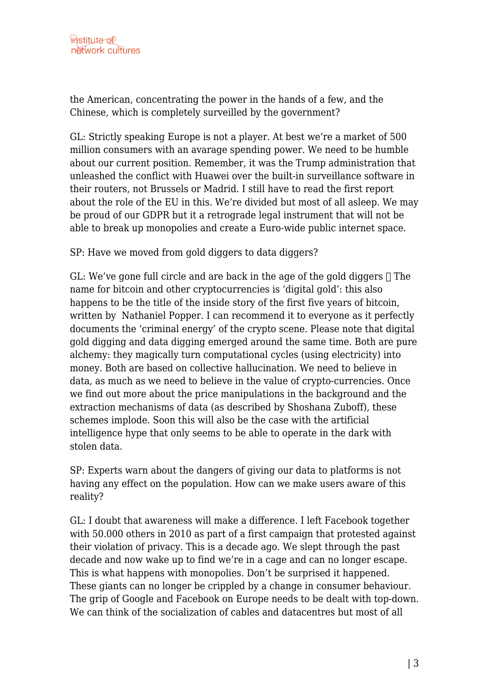the American, concentrating the power in the hands of a few, and the Chinese, which is completely surveilled by the government?

GL: Strictly speaking Europe is not a player. At best we're a market of 500 million consumers with an avarage spending power. We need to be humble about our current position. Remember, it was the Trump administration that unleashed the conflict with Huawei over the built-in surveillance software in their routers, not Brussels or Madrid. I still have to read the first report about the role of the EU in this. We're divided but most of all asleep. We may be proud of our GDPR but it a retrograde legal instrument that will not be able to break up monopolies and create a Euro-wide public internet space.

SP: Have we moved from gold diggers to data diggers?

GL: We've gone full circle and are back in the age of the gold diggers  $\Box$  The name for bitcoin and other cryptocurrencies is 'digital gold': this also happens to be the title of the inside story of the first five years of bitcoin, written by Nathaniel Popper. I can recommend it to everyone as it perfectly documents the 'criminal energy' of the crypto scene. Please note that digital gold digging and data digging emerged around the same time. Both are pure alchemy: they magically turn computational cycles (using electricity) into money. Both are based on collective hallucination. We need to believe in data, as much as we need to believe in the value of crypto-currencies. Once we find out more about the price manipulations in the background and the extraction mechanisms of data (as described by Shoshana Zuboff), these schemes implode. Soon this will also be the case with the artificial intelligence hype that only seems to be able to operate in the dark with stolen data.

SP: Experts warn about the dangers of giving our data to platforms is not having any effect on the population. How can we make users aware of this reality?

GL: I doubt that awareness will make a difference. I left Facebook together with 50.000 others in 2010 as part of a first campaign that protested against their violation of privacy. This is a decade ago. We slept through the past decade and now wake up to find we're in a cage and can no longer escape. This is what happens with monopolies. Don't be surprised it happened. These giants can no longer be crippled by a change in consumer behaviour. The grip of Google and Facebook on Europe needs to be dealt with top-down. We can think of the socialization of cables and datacentres but most of all